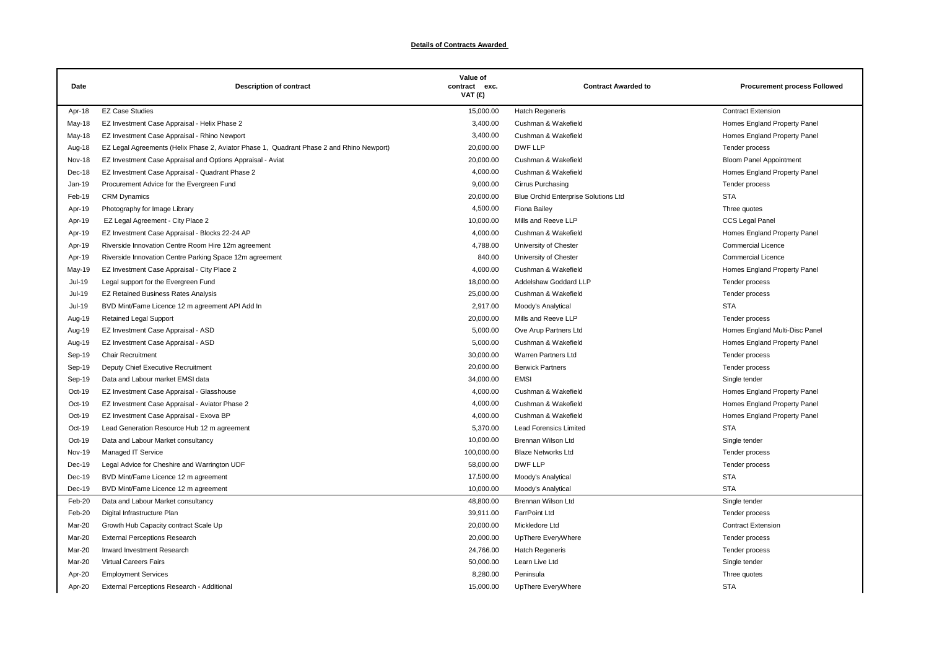## **Details of Contracts Awarded**

| Date          | <b>Description of contract</b>                                                           | Value of<br>contract exc.<br>VAT (£) | <b>Contract Awarded to</b>                  | <b>Procurement process Followed</b> |
|---------------|------------------------------------------------------------------------------------------|--------------------------------------|---------------------------------------------|-------------------------------------|
| Apr-18        | <b>EZ Case Studies</b>                                                                   | 15,000.00                            | <b>Hatch Regeneris</b>                      | <b>Contract Extension</b>           |
| May-18        | EZ Investment Case Appraisal - Helix Phase 2                                             | 3,400.00                             | Cushman & Wakefield                         | Homes England Property Panel        |
| May-18        | EZ Investment Case Appraisal - Rhino Newport                                             | 3,400.00                             | Cushman & Wakefield                         | Homes England Property Panel        |
| Aug-18        | EZ Legal Agreements (Helix Phase 2, Aviator Phase 1, Quadrant Phase 2 and Rhino Newport) | 20,000.00                            | DWF LLP                                     | Tender process                      |
| <b>Nov-18</b> | EZ Investment Case Appraisal and Options Appraisal - Aviat                               | 20,000.00                            | Cushman & Wakefield                         | <b>Bloom Panel Appointment</b>      |
| Dec-18        | EZ Investment Case Appraisal - Quadrant Phase 2                                          | 4,000.00                             | Cushman & Wakefield                         | Homes England Property Panel        |
| Jan-19        | Procurement Advice for the Evergreen Fund                                                | 9,000.00                             | Cirrus Purchasing                           | Tender process                      |
| Feb-19        | <b>CRM Dynamics</b>                                                                      | 20,000.00                            | <b>Blue Orchid Enterprise Solutions Ltd</b> | <b>STA</b>                          |
| Apr-19        | Photography for Image Library                                                            | 4,500.00                             | <b>Fiona Bailey</b>                         | Three quotes                        |
| Apr-19        | EZ Legal Agreement - City Place 2                                                        | 10,000.00                            | Mills and Reeve LLP                         | CCS Legal Panel                     |
| Apr-19        | EZ Investment Case Appraisal - Blocks 22-24 AP                                           | 4,000.00                             | Cushman & Wakefield                         | Homes England Property Panel        |
| Apr-19        | Riverside Innovation Centre Room Hire 12m agreement                                      | 4,788.00                             | University of Chester                       | <b>Commercial Licence</b>           |
| Apr-19        | Riverside Innovation Centre Parking Space 12m agreement                                  | 840.00                               | University of Chester                       | <b>Commercial Licence</b>           |
| May-19        | EZ Investment Case Appraisal - City Place 2                                              | 4,000.00                             | Cushman & Wakefield                         | Homes England Property Panel        |
| Jul-19        | Legal support for the Evergreen Fund                                                     | 18,000.00                            | Addelshaw Goddard LLP                       | Tender process                      |
| <b>Jul-19</b> | <b>EZ Retained Business Rates Analysis</b>                                               | 25,000.00                            | Cushman & Wakefield                         | Tender process                      |
| Jul-19        | BVD Mint/Fame Licence 12 m agreement API Add In                                          | 2,917.00                             | Moody's Analytical                          | <b>STA</b>                          |
| Aug-19        | <b>Retained Legal Support</b>                                                            | 20,000.00                            | Mills and Reeve LLP                         | Tender process                      |
| Aug-19        | EZ Investment Case Appraisal - ASD                                                       | 5,000.00                             | Ove Arup Partners Ltd                       | Homes England Multi-Disc Panel      |
| Aug-19        | EZ Investment Case Appraisal - ASD                                                       | 5,000.00                             | Cushman & Wakefield                         | Homes England Property Panel        |
| Sep-19        | <b>Chair Recruitment</b>                                                                 | 30,000.00                            | Warren Partners Ltd                         | Tender process                      |
| Sep-19        | Deputy Chief Executive Recruitment                                                       | 20,000.00                            | <b>Berwick Partners</b>                     | Tender process                      |
| Sep-19        | Data and Labour market EMSI data                                                         | 34,000.00                            | <b>EMSI</b>                                 | Single tender                       |
| $Oct-19$      | EZ Investment Case Appraisal - Glasshouse                                                | 4,000.00                             | Cushman & Wakefield                         | Homes England Property Panel        |
| $Oct-19$      | EZ Investment Case Appraisal - Aviator Phase 2                                           | 4,000.00                             | Cushman & Wakefield                         | Homes England Property Panel        |
| $Oct-19$      | EZ Investment Case Appraisal - Exova BP                                                  | 4,000.00                             | Cushman & Wakefield                         | Homes England Property Panel        |
| Oct-19        | Lead Generation Resource Hub 12 m agreement                                              | 5,370.00                             | <b>Lead Forensics Limited</b>               | <b>STA</b>                          |
| $Oct-19$      | Data and Labour Market consultancy                                                       | 10,000.00                            | <b>Brennan Wilson Ltd</b>                   | Single tender                       |
| <b>Nov-19</b> | Managed IT Service                                                                       | 100,000.00                           | <b>Blaze Networks Ltd</b>                   | Tender process                      |
| Dec-19        | Legal Advice for Cheshire and Warrington UDF                                             | 58,000.00                            | DWF LLP                                     | Tender process                      |
| Dec-19        | BVD Mint/Fame Licence 12 m agreement                                                     | 17,500.00                            | Moody's Analytical                          | <b>STA</b>                          |
| Dec-19        | BVD Mint/Fame Licence 12 m agreement                                                     | 10,000.00                            | Moody's Analytical                          | <b>STA</b>                          |
| Feb-20        | Data and Labour Market consultancy                                                       | 48,800.00                            | Brennan Wilson Ltd                          | Single tender                       |
| Feb-20        | Digital Infrastructure Plan                                                              | 39,911.00                            | <b>FarrPoint Ltd</b>                        | Tender process                      |
| Mar-20        | Growth Hub Capacity contract Scale Up                                                    | 20,000.00                            | Mickledore Ltd                              | <b>Contract Extension</b>           |
| Mar-20        | <b>External Perceptions Research</b>                                                     | 20,000.00                            | UpThere EveryWhere                          | Tender process                      |
| Mar-20        | Inward Investment Research                                                               | 24,766.00                            | <b>Hatch Regeneris</b>                      | Tender process                      |
| Mar-20        | Virtual Careers Fairs                                                                    | 50,000.00                            | Learn Live Ltd                              | Single tender                       |
| Apr-20        | <b>Employment Services</b>                                                               | 8,280.00                             | Peninsula                                   | Three quotes                        |
| Apr-20        | External Perceptions Research - Additional                                               | 15,000.00                            | UpThere EveryWhere                          | <b>STA</b>                          |